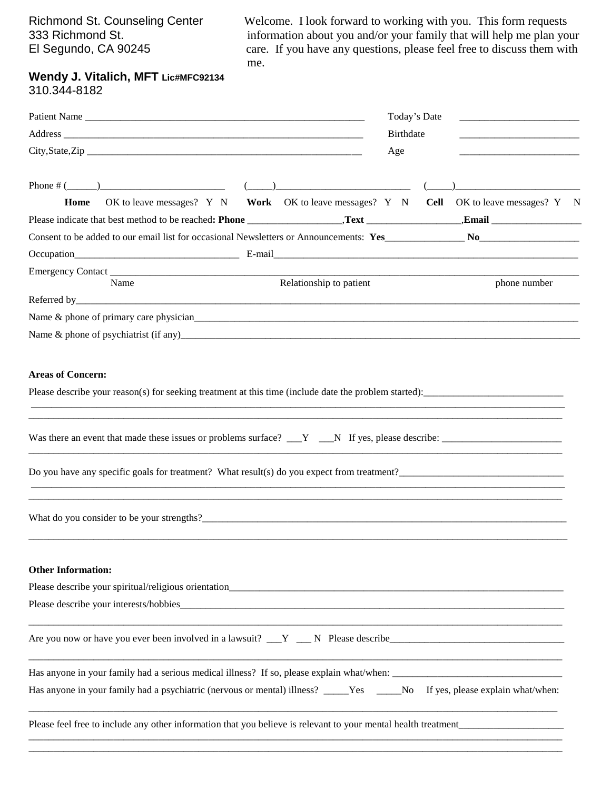Richmond St. Counseling Center<br>
Welcome. I look forward to working with you. This form requests<br>
information about you and/or your family that will help me plan you<br>
Notes the formation about you and/or your family that wi 333 Richmond St.<br>
El Segundo, CA 90245 care. If you have any questions, please feel free to discuss them with care. If you have any questions, please feel free to discuss them with me.

## **Wendy J. Vitalich, MFT Lic#MFC92134**  310.344-8182

| Patient Name                                                                                                                                                                                                                   |  |                         |     | Today's Date<br><u> 1980 - Jan James Barnett, fizik ar fizik ar fizik ar fizik ar fizik ar fizik ar fizik ar fizik ar fizik ar f</u> |              |  |
|--------------------------------------------------------------------------------------------------------------------------------------------------------------------------------------------------------------------------------|--|-------------------------|-----|--------------------------------------------------------------------------------------------------------------------------------------|--------------|--|
|                                                                                                                                                                                                                                |  |                         |     | Birthdate                                                                                                                            |              |  |
|                                                                                                                                                                                                                                |  |                         | Age |                                                                                                                                      |              |  |
|                                                                                                                                                                                                                                |  |                         |     |                                                                                                                                      |              |  |
| OK to leave messages? Y N Work OK to leave messages? Y N Cell OK to leave messages? Y N<br>Home                                                                                                                                |  |                         |     |                                                                                                                                      |              |  |
|                                                                                                                                                                                                                                |  |                         |     |                                                                                                                                      |              |  |
|                                                                                                                                                                                                                                |  |                         |     |                                                                                                                                      |              |  |
| Occupation E-mail E-mail E-mail E-mail E-mail E-mail E-mail E-mail E-mail E-mail E-mail E-mail E-mail E-mail E-mail E-mail E-mail E-mail E-mail E-mail E-mail E-mail E-mail E-mail E-mail E-mail E-mail E-mail E-mail E-mail E |  |                         |     |                                                                                                                                      |              |  |
|                                                                                                                                                                                                                                |  |                         |     |                                                                                                                                      |              |  |
| Name                                                                                                                                                                                                                           |  | Relationship to patient |     |                                                                                                                                      | phone number |  |
|                                                                                                                                                                                                                                |  |                         |     |                                                                                                                                      |              |  |
|                                                                                                                                                                                                                                |  |                         |     |                                                                                                                                      |              |  |
|                                                                                                                                                                                                                                |  |                         |     |                                                                                                                                      |              |  |
| <b>Areas of Concern:</b>                                                                                                                                                                                                       |  |                         |     |                                                                                                                                      |              |  |
| Please describe your reason(s) for seeking treatment at this time (include date the problem started):                                                                                                                          |  |                         |     |                                                                                                                                      |              |  |
|                                                                                                                                                                                                                                |  |                         |     |                                                                                                                                      |              |  |
|                                                                                                                                                                                                                                |  |                         |     |                                                                                                                                      |              |  |
| Do you have any specific goals for treatment? What result(s) do you expect from treatment?                                                                                                                                     |  |                         |     |                                                                                                                                      |              |  |
| What do you consider to be your strengths?<br><u> Unit do you consider</u> to be your strengths?                                                                                                                               |  |                         |     |                                                                                                                                      |              |  |
| <b>Other Information:</b>                                                                                                                                                                                                      |  |                         |     |                                                                                                                                      |              |  |
|                                                                                                                                                                                                                                |  |                         |     |                                                                                                                                      |              |  |
|                                                                                                                                                                                                                                |  |                         |     |                                                                                                                                      |              |  |
|                                                                                                                                                                                                                                |  |                         |     |                                                                                                                                      |              |  |
|                                                                                                                                                                                                                                |  |                         |     |                                                                                                                                      |              |  |
| Has anyone in your family had a psychiatric (nervous or mental) illness? _____Yes _____No If yes, please explain what/when:                                                                                                    |  |                         |     |                                                                                                                                      |              |  |
| Please feel free to include any other information that you believe is relevant to your mental health treatment                                                                                                                 |  |                         |     |                                                                                                                                      |              |  |
|                                                                                                                                                                                                                                |  |                         |     |                                                                                                                                      |              |  |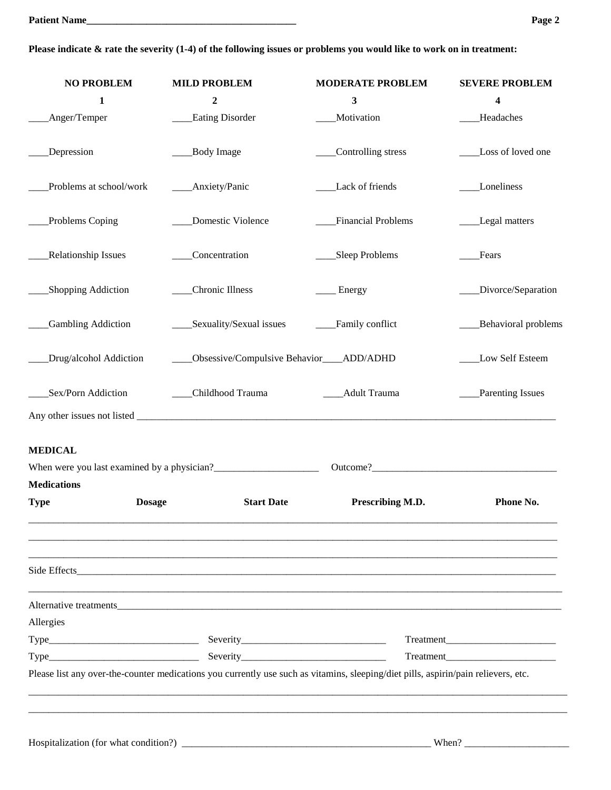### **Please indicate & rate the severity (1-4) of the following issues or problems you would like to work on in treatment:**

| <b>NO PROBLEM</b>            | <b>MILD PROBLEM</b>                                                                                                                | <b>MODERATE PROBLEM</b> | <b>SEVERE PROBLEM</b> |
|------------------------------|------------------------------------------------------------------------------------------------------------------------------------|-------------------------|-----------------------|
| 1                            | $\boldsymbol{2}$                                                                                                                   | 3                       | 4                     |
| Anger/Temper                 | <b>Eating Disorder</b>                                                                                                             | Motivation              | Headaches             |
| Depression                   | Body Image                                                                                                                         | Controlling stress      | Loss of loved one     |
| Problems at school/work      | ___Anxiety/Panic                                                                                                                   | Lack of friends         | Loneliness            |
| Problems Coping              | Domestic Violence                                                                                                                  | Financial Problems      | Legal matters         |
| <b>Relationship Issues</b>   | _Concentration                                                                                                                     | Sleep Problems          | Fears                 |
| <b>Shopping Addiction</b>    | Chronic Illness                                                                                                                    | _ Energy                | Divorce/Separation    |
| <b>Gambling Addiction</b>    | Sexuality/Sexual issues                                                                                                            | Family conflict         | Behavioral problems   |
| Drug/alcohol Addiction       | Obsessive/Compulsive Behavior___ADD/ADHD                                                                                           |                         | Low Self Esteem       |
| Sex/Porn Addiction           | ___Childhood Trauma                                                                                                                | ____Adult Trauma        | Parenting Issues      |
|                              |                                                                                                                                    |                         |                       |
| <b>MEDICAL</b>               |                                                                                                                                    |                         |                       |
|                              |                                                                                                                                    |                         |                       |
| <b>Medications</b>           |                                                                                                                                    |                         |                       |
| <b>Dosage</b><br><b>Type</b> | <b>Start Date</b>                                                                                                                  | Prescribing M.D.        | Phone No.             |
|                              |                                                                                                                                    |                         |                       |
|                              |                                                                                                                                    |                         |                       |
| Allergies                    |                                                                                                                                    |                         |                       |
|                              |                                                                                                                                    |                         |                       |
|                              |                                                                                                                                    |                         | Treatment             |
|                              | Please list any over-the-counter medications you currently use such as vitamins, sleeping/diet pills, aspirin/pain relievers, etc. |                         |                       |
|                              |                                                                                                                                    |                         |                       |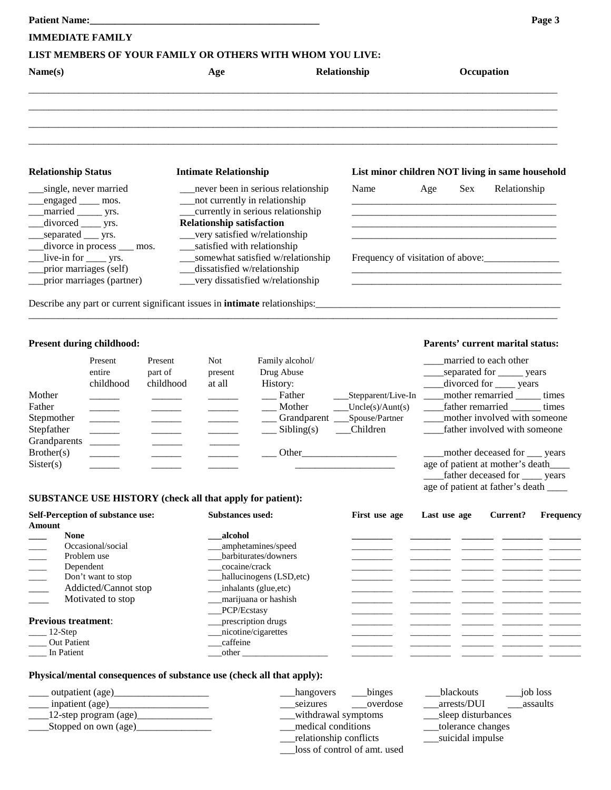| <b>Patient Name:</b>                                |                            |                    | <u> 1980 - Jan James James James James James James James James James James James James James James James James Ja</u> |                                                                        |                                                                                   |                                                                            |                                 | Page 3    |  |
|-----------------------------------------------------|----------------------------|--------------------|-----------------------------------------------------------------------------------------------------------------------|------------------------------------------------------------------------|-----------------------------------------------------------------------------------|----------------------------------------------------------------------------|---------------------------------|-----------|--|
| <b>IMMEDIATE FAMILY</b>                             |                            |                    |                                                                                                                       |                                                                        |                                                                                   |                                                                            |                                 |           |  |
|                                                     |                            |                    |                                                                                                                       | LIST MEMBERS OF YOUR FAMILY OR OTHERS WITH WHOM YOU LIVE:              |                                                                                   |                                                                            |                                 |           |  |
| Name(s)                                             |                            |                    | Age                                                                                                                   |                                                                        | Relationship                                                                      |                                                                            | Occupation                      |           |  |
|                                                     |                            |                    |                                                                                                                       |                                                                        |                                                                                   |                                                                            |                                 |           |  |
| <b>Relationship Status</b>                          |                            |                    | <b>Intimate Relationship</b>                                                                                          |                                                                        |                                                                                   | List minor children NOT living in same household                           |                                 |           |  |
| single, never married<br>engaged ____ mos.          |                            |                    |                                                                                                                       | _never been in serious relationship<br>__not currently in relationship | Name                                                                              | Age<br>Sex                                                                 | Relationship                    |           |  |
| married _______ yrs.<br>divorced _____ yrs.         |                            |                    | <b>Relationship satisfaction</b>                                                                                      | currently in serious relationship                                      |                                                                                   |                                                                            |                                 |           |  |
| _separated ____ yrs.                                | divorce in process __ mos. |                    | __satisfied with relationship                                                                                         | __very satisfied w/relationship                                        |                                                                                   |                                                                            |                                 |           |  |
|                                                     | live-in for ______ yrs.    |                    |                                                                                                                       | ___somewhat satisfied w/relationship<br>dissatisfied w/relationship    |                                                                                   | Frequency of visitation of above:                                          |                                 |           |  |
| prior marriages (self)<br>prior marriages (partner) |                            |                    |                                                                                                                       | __very dissatisfied w/relationship                                     |                                                                                   |                                                                            |                                 |           |  |
|                                                     |                            |                    |                                                                                                                       |                                                                        | Describe any part or current significant issues in <b>intimate</b> relationships: |                                                                            |                                 |           |  |
| <b>Present during childhood:</b>                    |                            |                    |                                                                                                                       |                                                                        |                                                                                   | Parents' current marital status:                                           |                                 |           |  |
|                                                     | Present<br>entire          | Present<br>part of | <b>Not</b>                                                                                                            | Family alcohol/<br>Drug Abuse                                          |                                                                                   |                                                                            | married to each other           |           |  |
|                                                     | childhood                  | childhood          | present<br>at all                                                                                                     | History:                                                               |                                                                                   | _____separated for ______ years                                            | divorced for ____ years         |           |  |
| Mother                                              |                            |                    |                                                                                                                       | Father                                                                 | ___Stepparent/Live-In ___                                                         |                                                                            | _mother remarried _____ times   |           |  |
| Father                                              |                            |                    |                                                                                                                       | Mother                                                                 | Uncle(s)/Aunt(s)                                                                  |                                                                            | father remarried times          |           |  |
| Stepmother                                          | $\overline{\phantom{a}}$   |                    |                                                                                                                       |                                                                        | _Grandparent ___Spouse/Partner                                                    |                                                                            | mother involved with someone    |           |  |
| Stepfather<br>Grandparents                          |                            |                    |                                                                                                                       | Sibling(s)                                                             | Children                                                                          |                                                                            | father involved with someone    |           |  |
| Brother(s)                                          |                            |                    |                                                                                                                       | Other_                                                                 |                                                                                   |                                                                            | mother deceased for ___ years   |           |  |
| Sister(s)                                           |                            |                    |                                                                                                                       |                                                                        |                                                                                   | age of patient at mother's death_<br>age of patient at father's death ____ | father deceased for _____ years |           |  |
|                                                     |                            |                    |                                                                                                                       | SUBSTANCE USE HISTORY (check all that apply for patient):              |                                                                                   |                                                                            |                                 |           |  |
| Self-Perception of substance use:<br>Amount         |                            |                    | <b>Substances used:</b>                                                                                               |                                                                        | First use age                                                                     | Last use age                                                               | Current?                        | Frequency |  |
| <b>None</b>                                         |                            |                    | alcohol                                                                                                               |                                                                        |                                                                                   |                                                                            |                                 |           |  |
| Occasional/social                                   |                            |                    | amphetamines/speed                                                                                                    |                                                                        |                                                                                   |                                                                            |                                 |           |  |
| Problem use<br>Dependent                            |                            |                    | barbiturates/downers<br>cocaine/crack                                                                                 |                                                                        |                                                                                   |                                                                            |                                 |           |  |
| Don't want to stop                                  |                            |                    | hallucinogens (LSD, etc)                                                                                              |                                                                        |                                                                                   |                                                                            |                                 |           |  |
| Addicted/Cannot stop                                |                            |                    | inhalants (glue, etc)                                                                                                 |                                                                        |                                                                                   |                                                                            |                                 |           |  |
| Motivated to stop                                   |                            |                    | marijuana or hashish<br>PCP/Ecstasy                                                                                   |                                                                        |                                                                                   |                                                                            |                                 |           |  |
| <b>Previous treatment:</b>                          |                            |                    |                                                                                                                       | prescription drugs                                                     |                                                                                   |                                                                            |                                 |           |  |
| 12-Step                                             |                            |                    |                                                                                                                       | nicotine/cigarettes                                                    |                                                                                   |                                                                            |                                 |           |  |
| <b>Out Patient</b>                                  |                            |                    | caffeine                                                                                                              |                                                                        |                                                                                   |                                                                            |                                 |           |  |

#### **Physical/mental consequences of substance use (check all that apply):**

\_\_\_\_ In Patient \_\_\_other \_\_\_\_\_\_\_\_\_\_\_\_\_\_\_\_\_\_\_ \_\_\_\_\_\_\_\_\_ \_\_\_\_\_\_\_\_\_ \_\_\_\_\_\_\_ \_\_\_\_\_\_\_\_\_ \_\_\_\_\_\_\_

| binges<br>_hangovers         | blackouts<br>job loss   |
|------------------------------|-------------------------|
| overdose<br>seizures         | assaults<br>arrests/DUI |
| withdrawal symptoms          | sleep disturbances      |
| medical conditions           | tolerance changes       |
| relationship conflicts       | suicidal impulse        |
| loss of control of amt. used |                         |
|                              |                         |